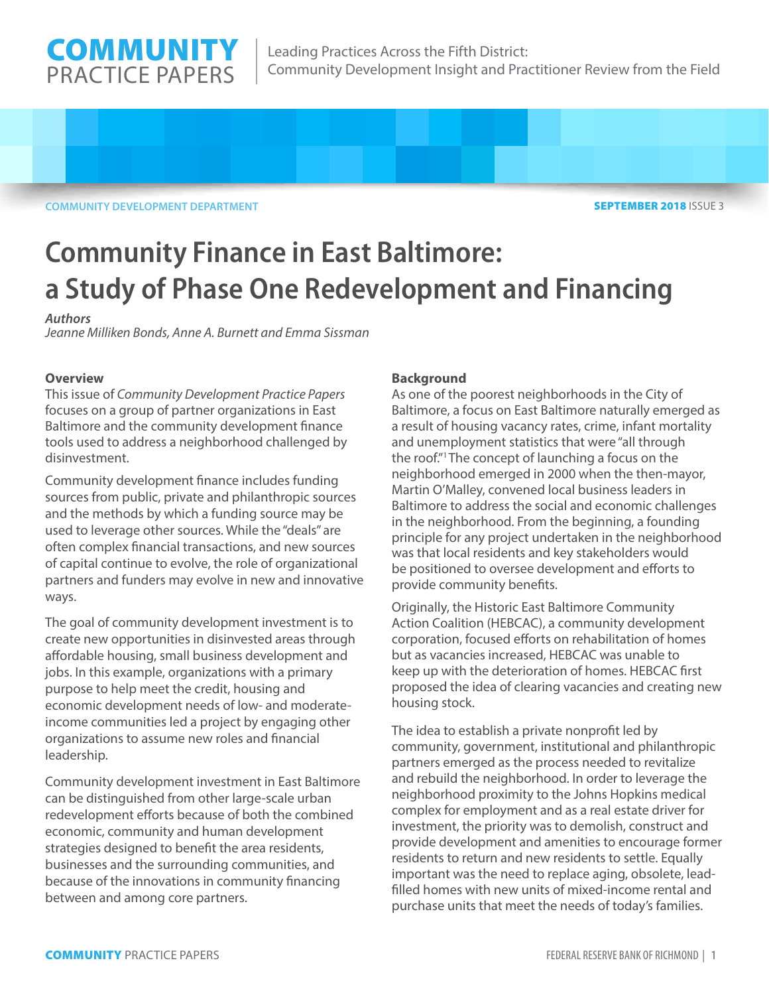

**COMMUNITY DEVELOPMENT DEPARTMENT** 

SEPTEMBER 2018 ISSUE 3

# **Community Finance in East Baltimore: a Study of Phase One Redevelopment and Financing**

# *Authors*

*Jeanne Milliken Bonds, Anne A. Burnett and Emma Sissman* 

# **Overview**

This issue of *Community Development Practice Papers* focuses on a group of partner organizations in East Baltimore and the community development finance tools used to address a neighborhood challenged by disinvestment.

Community development finance includes funding sources from public, private and philanthropic sources and the methods by which a funding source may be used to leverage other sources. While the "deals" are often complex financial transactions, and new sources of capital continue to evolve, the role of organizational partners and funders may evolve in new and innovative ways.

The goal of community development investment is to create new opportunities in disinvested areas through affordable housing, small business development and jobs. In this example, organizations with a primary purpose to help meet the credit, housing and economic development needs of low- and moderateincome communities led a project by engaging other organizations to assume new roles and financial leadership.

Community development investment in East Baltimore can be distinguished from other large-scale urban redevelopment efforts because of both the combined economic, community and human development strategies designed to benefit the area residents, businesses and the surrounding communities, and because of the innovations in community financing between and among core partners.

# **Background**

As one of the poorest neighborhoods in the City of Baltimore, a focus on East Baltimore naturally emerged as a result of housing vacancy rates, crime, infant mortality and unemployment statistics that were "all through the roof."1 The concept of launching a focus on the neighborhood emerged in 2000 when the then-mayor, Martin O'Malley, convened local business leaders in Baltimore to address the social and economic challenges in the neighborhood. From the beginning, a founding principle for any project undertaken in the neighborhood was that local residents and key stakeholders would be positioned to oversee development and efforts to provide community benefits.

Originally, the Historic East Baltimore Community Action Coalition (HEBCAC), a community development corporation, focused efforts on rehabilitation of homes but as vacancies increased, HEBCAC was unable to keep up with the deterioration of homes. HEBCAC first proposed the idea of clearing vacancies and creating new housing stock.

The idea to establish a private nonprofit led by community, government, institutional and philanthropic partners emerged as the process needed to revitalize and rebuild the neighborhood. In order to leverage the neighborhood proximity to the Johns Hopkins medical complex for employment and as a real estate driver for investment, the priority was to demolish, construct and provide development and amenities to encourage former residents to return and new residents to settle. Equally important was the need to replace aging, obsolete, leadfilled homes with new units of mixed-income rental and purchase units that meet the needs of today's families.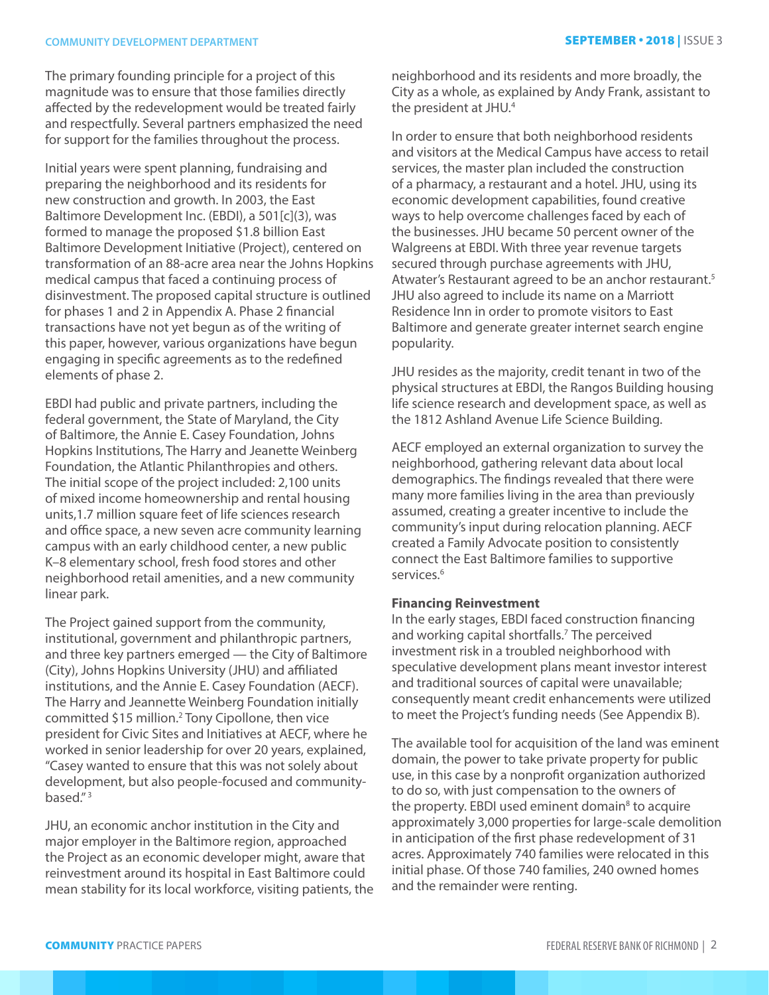# **COMMUNITY DEVELOPMENT DEPARTMENT SEPTEMBER • 2018** | ISSUE 3

The primary founding principle for a project of this magnitude was to ensure that those families directly affected by the redevelopment would be treated fairly and respectfully. Several partners emphasized the need for support for the families throughout the process.

Initial years were spent planning, fundraising and preparing the neighborhood and its residents for new construction and growth. In 2003, the East Baltimore Development Inc. (EBDI), a 501[c](3), was formed to manage the proposed \$1.8 billion East Baltimore Development Initiative (Project), centered on transformation of an 88-acre area near the Johns Hopkins medical campus that faced a continuing process of disinvestment. The proposed capital structure is outlined for phases 1 and 2 in Appendix A. Phase 2 financial transactions have not yet begun as of the writing of this paper, however, various organizations have begun engaging in specific agreements as to the redefined elements of phase 2.

EBDI had public and private partners, including the federal government, the State of Maryland, the City of Baltimore, the Annie E. Casey Foundation, Johns Hopkins Institutions, The Harry and Jeanette Weinberg Foundation, the Atlantic Philanthropies and others. The initial scope of the project included: 2,100 units of mixed income homeownership and rental housing units,1.7 million square feet of life sciences research and office space, a new seven acre community learning campus with an early childhood center, a new public K–8 elementary school, fresh food stores and other neighborhood retail amenities, and a new community linear park.

The Project gained support from the community, institutional, government and philanthropic partners, and three key partners emerged — the City of Baltimore (City), Johns Hopkins University (JHU) and affiliated institutions, and the Annie E. Casey Foundation (AECF). The Harry and Jeannette Weinberg Foundation initially committed \$15 million.<sup>2</sup> Tony Cipollone, then vice president for Civic Sites and Initiatives at AECF, where he worked in senior leadership for over 20 years, explained, "Casey wanted to ensure that this was not solely about development, but also people-focused and communitybased." 3

JHU, an economic anchor institution in the City and major employer in the Baltimore region, approached the Project as an economic developer might, aware that reinvestment around its hospital in East Baltimore could mean stability for its local workforce, visiting patients, the neighborhood and its residents and more broadly, the City as a whole, as explained by Andy Frank, assistant to the president at JHU.<sup>4</sup>

In order to ensure that both neighborhood residents and visitors at the Medical Campus have access to retail services, the master plan included the construction of a pharmacy, a restaurant and a hotel. JHU, using its economic development capabilities, found creative ways to help overcome challenges faced by each of the businesses. JHU became 50 percent owner of the Walgreens at EBDI. With three year revenue targets secured through purchase agreements with JHU, Atwater's Restaurant agreed to be an anchor restaurant.<sup>5</sup> JHU also agreed to include its name on a Marriott Residence Inn in order to promote visitors to East Baltimore and generate greater internet search engine popularity.

JHU resides as the majority, credit tenant in two of the physical structures at EBDI, the Rangos Building housing life science research and development space, as well as the 1812 Ashland Avenue Life Science Building.

AECF employed an external organization to survey the neighborhood, gathering relevant data about local demographics. The findings revealed that there were many more families living in the area than previously assumed, creating a greater incentive to include the community's input during relocation planning. AECF created a Family Advocate position to consistently connect the East Baltimore families to supportive services.<sup>6</sup>

## **Financing Reinvestment**

In the early stages, EBDI faced construction financing and working capital shortfalls.<sup>7</sup> The perceived investment risk in a troubled neighborhood with speculative development plans meant investor interest and traditional sources of capital were unavailable; consequently meant credit enhancements were utilized to meet the Project's funding needs (See Appendix B).

The available tool for acquisition of the land was eminent domain, the power to take private property for public use, in this case by a nonprofit organization authorized to do so, with just compensation to the owners of the property. EBDI used eminent domain<sup>8</sup> to acquire approximately 3,000 properties for large-scale demolition in anticipation of the first phase redevelopment of 31 acres. Approximately 740 families were relocated in this initial phase. Of those 740 families, 240 owned homes and the remainder were renting.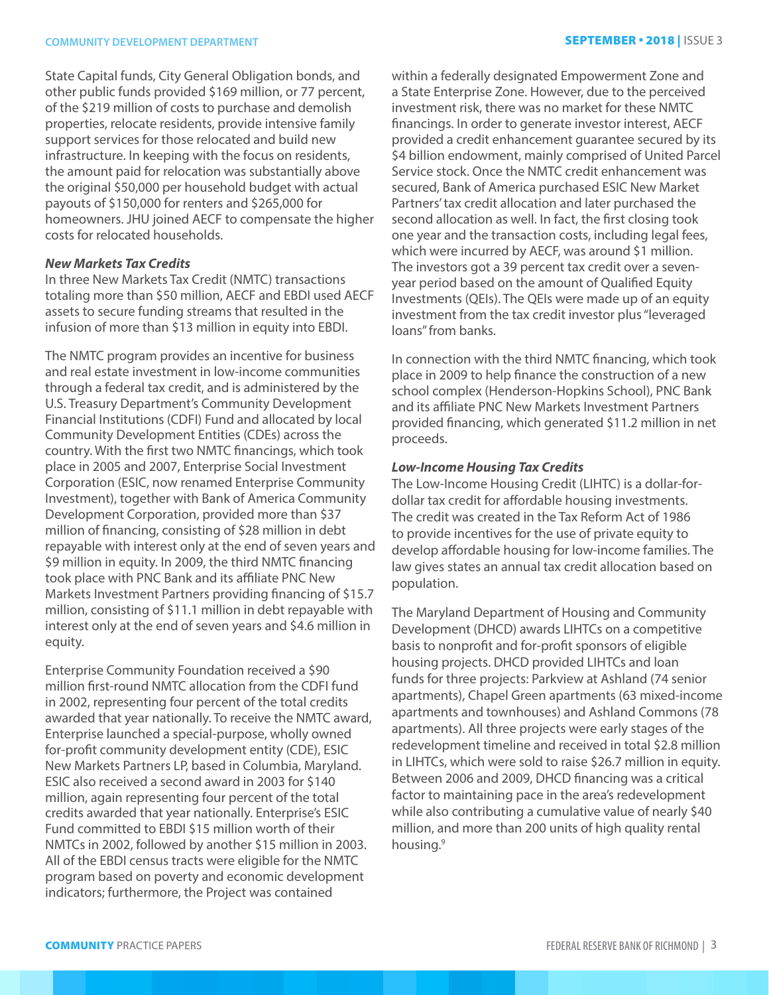State Capital funds, City General Obligation bonds, and other public funds provided \$169 million, or 77 percent, of the \$219 million of costs to purchase and demolish properties, relocate residents, provide intensive family support services for those relocated and build new infrastructure. In keeping with the focus on residents, the amount paid for relocation was substantially above the original \$50,000 per household budget with actual payouts of \$150,000 for renters and \$265,000 for homeowners. JHU joined AECF to compensate the higher costs for relocated households.

# *New Markets Tax Credits*

In three New Markets Tax Credit (NMTC) transactions totaling more than \$50 million, AECF and EBDI used AECF assets to secure funding streams that resulted in the infusion of more than \$13 million in equity into EBDI.

The NMTC program provides an incentive for business and real estate investment in low-income communities through a federal tax credit, and is administered by the U.S. Treasury Department's Community Development Financial Institutions (CDFI) Fund and allocated by local Community Development Entities (CDEs) across the country. With the first two NMTC financings, which took place in 2005 and 2007, Enterprise Social Investment Corporation (ESIC, now renamed Enterprise Community Investment), together with Bank of America Community Development Corporation, provided more than \$37 million of financing, consisting of \$28 million in debt repayable with interest only at the end of seven years and \$9 million in equity. In 2009, the third NMTC financing took place with PNC Bank and its affiliate PNC New Markets Investment Partners providing financing of \$15.7 million, consisting of \$11.1 million in debt repayable with interest only at the end of seven years and \$4.6 million in equity.

Enterprise Community Foundation received a \$90 million first-round NMTC allocation from the CDFI fund in 2002, representing four percent of the total credits awarded that year nationally. To receive the NMTC award, Enterprise launched a special-purpose, wholly owned for-profit community development entity (CDE), ESIC New Markets Partners LP, based in Columbia, Maryland. ESIC also received a second award in 2003 for \$140 million, again representing four percent of the total credits awarded that year nationally. Enterprise's ESIC Fund committed to EBDI \$15 million worth of their NMTCs in 2002, followed by another \$15 million in 2003. All of the EBDI census tracts were eligible for the NMTC program based on poverty and economic development indicators; furthermore, the Project was contained

within a federally designated Empowerment Zone and a State Enterprise Zone. However, due to the perceived investment risk, there was no market for these NMTC financings. In order to generate investor interest, AECF provided a credit enhancement guarantee secured by its \$4 billion endowment, mainly comprised of United Parcel Service stock. Once the NMTC credit enhancement was secured, Bank of America purchased ESIC New Market Partners' tax credit allocation and later purchased the second allocation as well. In fact, the first closing took one year and the transaction costs, including legal fees, which were incurred by AECF, was around \$1 million. The investors got a 39 percent tax credit over a sevenyear period based on the amount of Qualified Equity Investments (QEIs). The QEIs were made up of an equity investment from the tax credit investor plus "leveraged loans" from banks.

In connection with the third NMTC financing, which took place in 2009 to help finance the construction of a new school complex (Henderson-Hopkins School), PNC Bank and its affiliate PNC New Markets Investment Partners provided financing, which generated \$11.2 million in net proceeds.

#### *Low-Income Housing Tax Credits*

The Low-Income Housing Credit (LIHTC) is a dollar-fordollar tax credit for affordable housing investments. The credit was created in the Tax Reform Act of 1986 to provide incentives for the use of private equity to develop affordable housing for low-income families. The law gives states an annual tax credit allocation based on population.

The Maryland Department of Housing and Community Development (DHCD) awards LIHTCs on a competitive basis to nonprofit and for-profit sponsors of eligible housing projects. DHCD provided LIHTCs and loan funds for three projects: Parkview at Ashland (74 senior apartments), Chapel Green apartments (63 mixed-income apartments and townhouses) and Ashland Commons (78 apartments). All three projects were early stages of the redevelopment timeline and received in total \$2.8 million in LIHTCs, which were sold to raise \$26.7 million in equity. Between 2006 and 2009, DHCD financing was a critical factor to maintaining pace in the area's redevelopment while also contributing a cumulative value of nearly \$40 million, and more than 200 units of high quality rental housing.<sup>9</sup>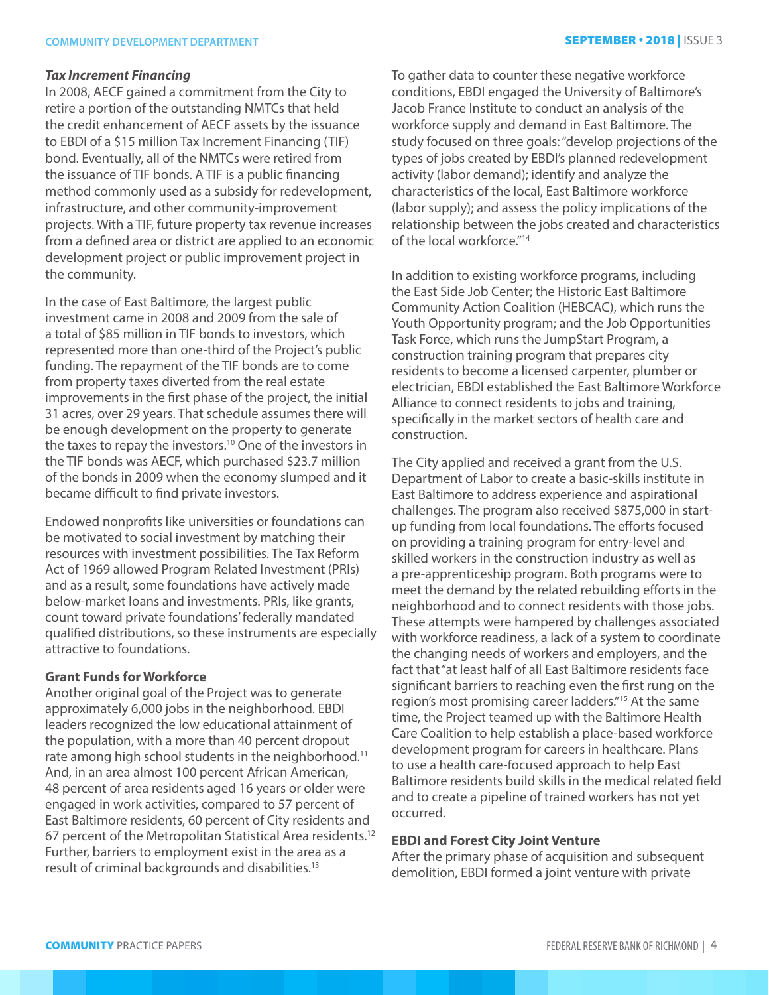#### *Tax Increment Financing*

In 2008, AECF gained a commitment from the City to retire a portion of the outstanding NMTCs that held the credit enhancement of AECF assets by the issuance to EBDI of a \$15 million Tax Increment Financing (TIF) bond. Eventually, all of the NMTCs were retired from the issuance of TIF bonds. A TIF is a public financing method commonly used as a subsidy for redevelopment, infrastructure, and other community-improvement projects. With a TIF, future property tax revenue increases from a defined area or district are applied to an economic development project or public improvement project in the community.

In the case of East Baltimore, the largest public investment came in 2008 and 2009 from the sale of a total of \$85 million in TIF bonds to investors, which represented more than one-third of the Project's public funding. The repayment of the TIF bonds are to come from property taxes diverted from the real estate improvements in the first phase of the project, the initial 31 acres, over 29 years. That schedule assumes there will be enough development on the property to generate the taxes to repay the investors.10 One of the investors in the TIF bonds was AECF, which purchased \$23.7 million of the bonds in 2009 when the economy slumped and it became difficult to find private investors.

Endowed nonprofits like universities or foundations can be motivated to social investment by matching their resources with investment possibilities. The Tax Reform Act of 1969 allowed Program Related Investment (PRIs) and as a result, some foundations have actively made below-market loans and investments. PRIs, like grants, count toward private foundations' federally mandated qualified distributions, so these instruments are especially attractive to foundations.

# **Grant Funds for Workforce**

Another original goal of the Project was to generate approximately 6,000 jobs in the neighborhood. EBDI leaders recognized the low educational attainment of the population, with a more than 40 percent dropout rate among high school students in the neighborhood.<sup>11</sup> And, in an area almost 100 percent African American, 48 percent of area residents aged 16 years or older were engaged in work activities, compared to 57 percent of East Baltimore residents, 60 percent of City residents and 67 percent of the Metropolitan Statistical Area residents.12 Further, barriers to employment exist in the area as a result of criminal backgrounds and disabilities.13

To gather data to counter these negative workforce conditions, EBDI engaged the University of Baltimore's Jacob France Institute to conduct an analysis of the workforce supply and demand in East Baltimore. The study focused on three goals: "develop projections of the types of jobs created by EBDI's planned redevelopment activity (labor demand); identify and analyze the characteristics of the local, East Baltimore workforce (labor supply); and assess the policy implications of the relationship between the jobs created and characteristics of the local workforce."<sup>14</sup>

In addition to existing workforce programs, including the East Side Job Center; the Historic East Baltimore Community Action Coalition (HEBCAC), which runs the Youth Opportunity program; and the Job Opportunities Task Force, which runs the JumpStart Program, a construction training program that prepares city residents to become a licensed carpenter, plumber or electrician, EBDI established the East Baltimore Workforce Alliance to connect residents to jobs and training, specifically in the market sectors of health care and construction.

The City applied and received a grant from the U.S. Department of Labor to create a basic-skills institute in East Baltimore to address experience and aspirational challenges. The program also received \$875,000 in startup funding from local foundations. The efforts focused on providing a training program for entry-level and skilled workers in the construction industry as well as a pre-apprenticeship program. Both programs were to meet the demand by the related rebuilding efforts in the neighborhood and to connect residents with those jobs. These attempts were hampered by challenges associated with workforce readiness, a lack of a system to coordinate the changing needs of workers and employers, and the fact that "at least half of all East Baltimore residents face significant barriers to reaching even the first rung on the region's most promising career ladders."15 At the same time, the Project teamed up with the Baltimore Health Care Coalition to help establish a place-based workforce development program for careers in healthcare. Plans to use a health care-focused approach to help East Baltimore residents build skills in the medical related field and to create a pipeline of trained workers has not yet occurred.

# **EBDI and Forest City Joint Venture**

After the primary phase of acquisition and subsequent demolition, EBDI formed a joint venture with private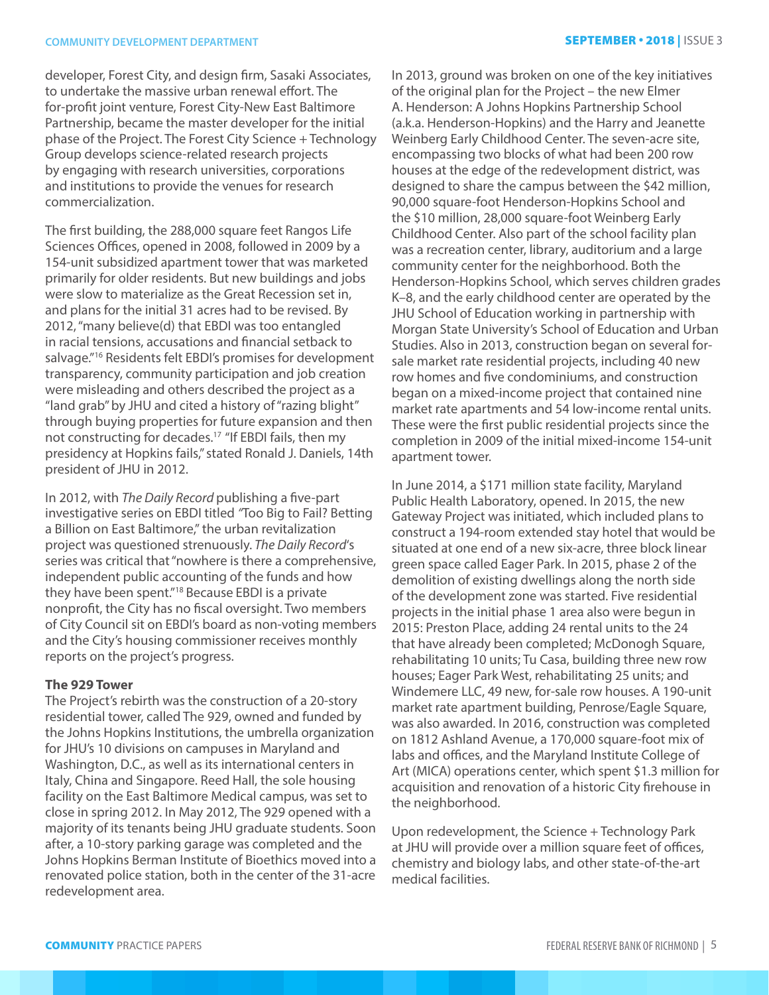developer, Forest City, and design firm, Sasaki Associates, to undertake the massive urban renewal effort. The for-profit joint venture, Forest City-New East Baltimore Partnership, became the master developer for the initial phase of the Project. The Forest City Science + Technology Group develops science-related research projects by engaging with research universities, corporations and institutions to provide the venues for research commercialization.

The first building, the 288,000 square feet Rangos Life Sciences Offices, opened in 2008, followed in 2009 by a 154-unit subsidized apartment tower that was marketed primarily for older residents. But new buildings and jobs were slow to materialize as the Great Recession set in, and plans for the initial 31 acres had to be revised. By 2012, "many believe(d) that EBDI was too entangled in racial tensions, accusations and financial setback to salvage."16 Residents felt EBDI's promises for development transparency, community participation and job creation were misleading and others described the project as a "land grab" by JHU and cited a history of "razing blight" through buying properties for future expansion and then not constructing for decades.<sup>17</sup> "If EBDI fails, then my presidency at Hopkins fails," stated Ronald J. Daniels, 14th president of JHU in 2012.

In 2012, with *The Daily Record* publishing a five-part investigative series on EBDI titled *"*Too Big to Fail? Betting a Billion on East Baltimore," the urban revitalization project was questioned strenuously. *The Daily Record*'s series was critical that "nowhere is there a comprehensive, independent public accounting of the funds and how they have been spent."18 Because EBDI is a private nonprofit, the City has no fiscal oversight. Two members of City Council sit on EBDI's board as non-voting members and the City's housing commissioner receives monthly reports on the project's progress.

## **The 929 Tower**

The Project's rebirth was the construction of a 20-story residential tower, called The 929, owned and funded by the Johns Hopkins Institutions, the umbrella organization for JHU's 10 divisions on campuses in Maryland and Washington, D.C., as well as its international centers in Italy, China and Singapore. Reed Hall, the sole housing facility on the East Baltimore Medical campus, was set to close in spring 2012. In May 2012, The 929 opened with a majority of its tenants being JHU graduate students. Soon after, a 10-story parking garage was completed and the Johns Hopkins Berman Institute of Bioethics moved into a renovated police station, both in the center of the 31-acre redevelopment area.

In 2013, ground was broken on one of the key initiatives of the original plan for the Project – the new Elmer A. Henderson: A Johns Hopkins Partnership School (a.k.a. Henderson-Hopkins) and the Harry and Jeanette Weinberg Early Childhood Center. The seven-acre site, encompassing two blocks of what had been 200 row houses at the edge of the redevelopment district, was designed to share the campus between the \$42 million, 90,000 square-foot Henderson-Hopkins School and the \$10 million, 28,000 square-foot Weinberg Early Childhood Center. Also part of the school facility plan was a recreation center, library, auditorium and a large community center for the neighborhood. Both the Henderson-Hopkins School, which serves children grades K–8, and the early childhood center are operated by the JHU School of Education working in partnership with Morgan State University's School of Education and Urban Studies. Also in 2013, construction began on several forsale market rate residential projects, including 40 new row homes and five condominiums, and construction began on a mixed-income project that contained nine market rate apartments and 54 low-income rental units. These were the first public residential projects since the completion in 2009 of the initial mixed-income 154-unit apartment tower.

In June 2014, a \$171 million state facility, Maryland Public Health Laboratory, opened. In 2015, the new Gateway Project was initiated, which included plans to construct a 194-room extended stay hotel that would be situated at one end of a new six-acre, three block linear green space called Eager Park. In 2015, phase 2 of the demolition of existing dwellings along the north side of the development zone was started. Five residential projects in the initial phase 1 area also were begun in 2015: Preston Place, adding 24 rental units to the 24 that have already been completed; McDonogh Square, rehabilitating 10 units; Tu Casa, building three new row houses; Eager Park West, rehabilitating 25 units; and Windemere LLC, 49 new, for-sale row houses. A 190-unit market rate apartment building, Penrose/Eagle Square, was also awarded. In 2016, construction was completed on 1812 Ashland Avenue, a 170,000 square-foot mix of labs and offices, and the Maryland Institute College of Art (MICA) operations center, which spent \$1.3 million for acquisition and renovation of a historic City firehouse in the neighborhood.

Upon redevelopment, the Science + Technology Park at JHU will provide over a million square feet of offices, chemistry and biology labs, and other state-of-the-art medical facilities.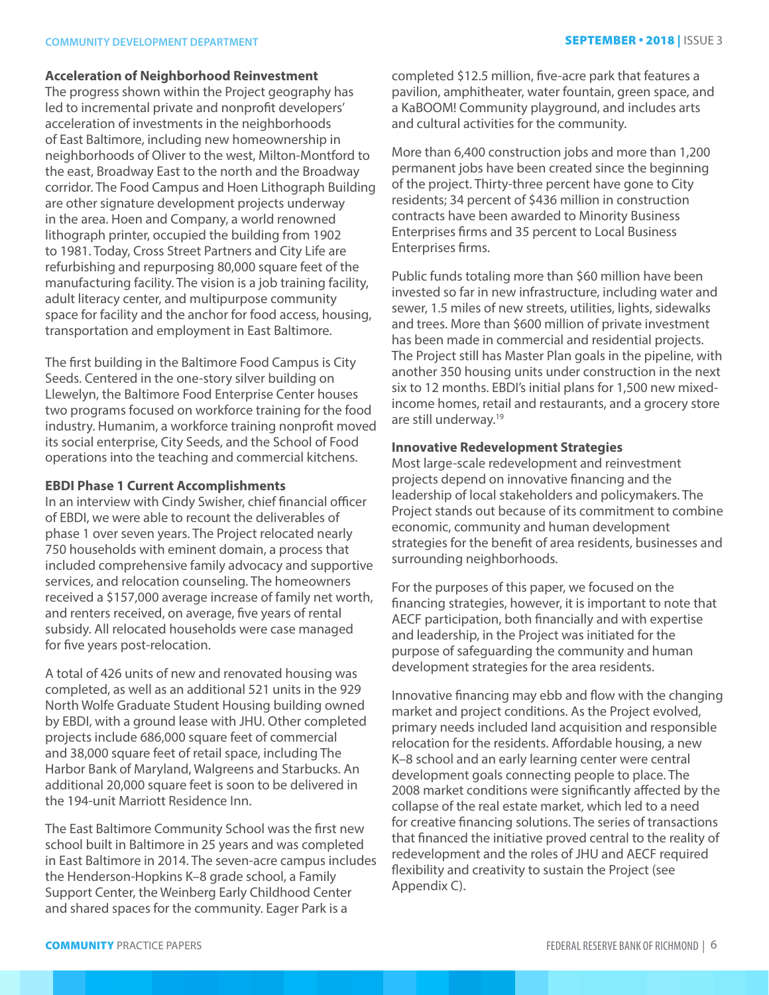# **COMMUNITY DEVELOPMENT DEPARTMENT SEPTEMBER • 2018** | ISSUE 3

#### **Acceleration of Neighborhood Reinvestment**

The progress shown within the Project geography has led to incremental private and nonprofit developers' acceleration of investments in the neighborhoods of East Baltimore, including new homeownership in neighborhoods of Oliver to the west, Milton-Montford to the east, Broadway East to the north and the Broadway corridor. The Food Campus and Hoen Lithograph Building are other signature development projects underway in the area. Hoen and Company, a world renowned lithograph printer, occupied the building from 1902 to 1981. Today, Cross Street Partners and City Life are refurbishing and repurposing 80,000 square feet of the manufacturing facility. The vision is a job training facility, adult literacy center, and multipurpose community space for facility and the anchor for food access, housing, transportation and employment in East Baltimore.

The first building in the Baltimore Food Campus is City Seeds. Centered in the one-story silver building on Llewelyn, the Baltimore Food Enterprise Center houses two programs focused on workforce training for the food industry. Humanim, a workforce training nonprofit moved its social enterprise, City Seeds, and the School of Food operations into the teaching and commercial kitchens.

#### **EBDI Phase 1 Current Accomplishments**

In an interview with Cindy Swisher, chief financial officer of EBDI, we were able to recount the deliverables of phase 1 over seven years. The Project relocated nearly 750 households with eminent domain, a process that included comprehensive family advocacy and supportive services, and relocation counseling. The homeowners received a \$157,000 average increase of family net worth, and renters received, on average, five years of rental subsidy. All relocated households were case managed for five years post-relocation.

A total of 426 units of new and renovated housing was completed, as well as an additional 521 units in the 929 North Wolfe Graduate Student Housing building owned by EBDI, with a ground lease with JHU. Other completed projects include 686,000 square feet of commercial and 38,000 square feet of retail space, including The Harbor Bank of Maryland, Walgreens and Starbucks. An additional 20,000 square feet is soon to be delivered in the 194-unit Marriott Residence Inn.

The East Baltimore Community School was the first new school built in Baltimore in 25 years and was completed in East Baltimore in 2014. The seven-acre campus includes the Henderson-Hopkins K–8 grade school, a Family Support Center, the Weinberg Early Childhood Center and shared spaces for the community. Eager Park is a

completed \$12.5 million, five-acre park that features a pavilion, amphitheater, water fountain, green space, and a KaBOOM! Community playground, and includes arts and cultural activities for the community.

More than 6,400 construction jobs and more than 1,200 permanent jobs have been created since the beginning of the project. Thirty-three percent have gone to City residents; 34 percent of \$436 million in construction contracts have been awarded to Minority Business Enterprises firms and 35 percent to Local Business Enterprises firms.

Public funds totaling more than \$60 million have been invested so far in new infrastructure, including water and sewer, 1.5 miles of new streets, utilities, lights, sidewalks and trees. More than \$600 million of private investment has been made in commercial and residential projects. The Project still has Master Plan goals in the pipeline, with another 350 housing units under construction in the next six to 12 months. EBDI's initial plans for 1,500 new mixedincome homes, retail and restaurants, and a grocery store are still underway.19

## **Innovative Redevelopment Strategies**

Most large-scale redevelopment and reinvestment projects depend on innovative financing and the leadership of local stakeholders and policymakers. The Project stands out because of its commitment to combine economic, community and human development strategies for the benefit of area residents, businesses and surrounding neighborhoods.

For the purposes of this paper, we focused on the financing strategies, however, it is important to note that AECF participation, both financially and with expertise and leadership, in the Project was initiated for the purpose of safeguarding the community and human development strategies for the area residents.

Innovative financing may ebb and flow with the changing market and project conditions. As the Project evolved, primary needs included land acquisition and responsible relocation for the residents. Affordable housing, a new K–8 school and an early learning center were central development goals connecting people to place. The 2008 market conditions were significantly affected by the collapse of the real estate market, which led to a need for creative financing solutions. The series of transactions that financed the initiative proved central to the reality of redevelopment and the roles of JHU and AECF required flexibility and creativity to sustain the Project (see Appendix C).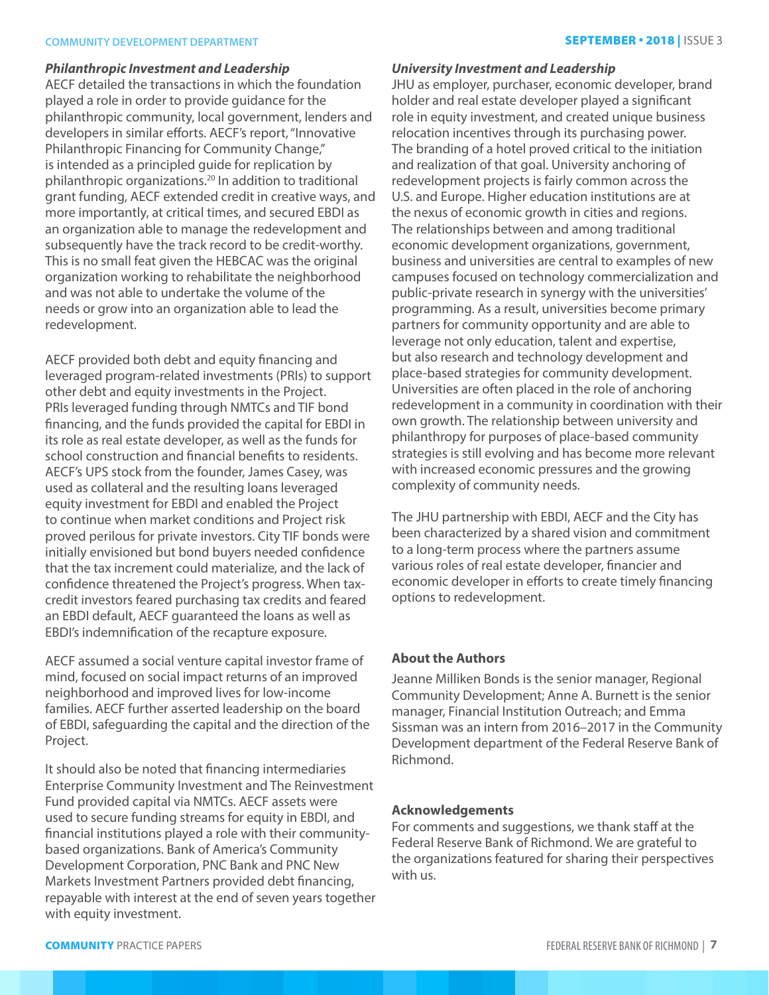## **COMMUNITY DEVELOPMENT DEPARTMENT** SEPTEMBER • 2018 | ISSUE 3

#### *Philanthropic Investment and Leadership*

AECF detailed the transactions in which the foundation played a role in order to provide guidance for the philanthropic community, local government, lenders and developers in similar efforts. AECF's report, "Innovative Philanthropic Financing for Community Change," is intended as a principled guide for replication by philanthropic organizations.20 In addition to traditional grant funding, AECF extended credit in creative ways, and more importantly, at critical times, and secured EBDI as an organization able to manage the redevelopment and subsequently have the track record to be credit-worthy. This is no small feat given the HEBCAC was the original organization working to rehabilitate the neighborhood and was not able to undertake the volume of the needs or grow into an organization able to lead the redevelopment.

AECF provided both debt and equity financing and leveraged program-related investments (PRIs) to support other debt and equity investments in the Project. PRIs leveraged funding through NMTCs and TIF bond financing, and the funds provided the capital for EBDI in its role as real estate developer, as well as the funds for school construction and financial benefits to residents. AECF's UPS stock from the founder, James Casey, was used as collateral and the resulting loans leveraged equity investment for EBDI and enabled the Project to continue when market conditions and Project risk proved perilous for private investors. City TIF bonds were initially envisioned but bond buyers needed confidence that the tax increment could materialize, and the lack of confidence threatened the Project's progress. When taxcredit investors feared purchasing tax credits and feared an EBDI default, AECF guaranteed the loans as well as EBDI's indemnification of the recapture exposure.

AECF assumed a social venture capital investor frame of mind, focused on social impact returns of an improved neighborhood and improved lives for low-income families. AECF further asserted leadership on the board of EBDI, safeguarding the capital and the direction of the Project.

It should also be noted that financing intermediaries Enterprise Community Investment and The Reinvestment Fund provided capital via NMTCs. AECF assets were used to secure funding streams for equity in EBDI, and financial institutions played a role with their communitybased organizations. Bank of America's Community Development Corporation, PNC Bank and PNC New Markets Investment Partners provided debt financing, repayable with interest at the end of seven years together with equity investment.

#### *University Investment and Leadership*

JHU as employer, purchaser, economic developer, brand holder and real estate developer played a significant role in equity investment, and created unique business relocation incentives through its purchasing power. The branding of a hotel proved critical to the initiation and realization of that goal. University anchoring of redevelopment projects is fairly common across the U.S. and Europe. Higher education institutions are at the nexus of economic growth in cities and regions. The relationships between and among traditional economic development organizations, government, business and universities are central to examples of new campuses focused on technology commercialization and public-private research in synergy with the universities' programming. As a result, universities become primary partners for community opportunity and are able to leverage not only education, talent and expertise, but also research and technology development and place-based strategies for community development. Universities are often placed in the role of anchoring redevelopment in a community in coordination with their own growth. The relationship between university and philanthropy for purposes of place-based community strategies is still evolving and has become more relevant with increased economic pressures and the growing complexity of community needs.

The JHU partnership with EBDI, AECF and the City has been characterized by a shared vision and commitment to a long-term process where the partners assume various roles of real estate developer, financier and economic developer in efforts to create timely financing options to redevelopment.

## **About the Authors**

Jeanne Milliken Bonds is the senior manager, Regional Community Development; Anne A. Burnett is the senior manager, Financial Institution Outreach; and Emma Sissman was an intern from 2016–2017 in the Community Development department of the Federal Reserve Bank of Richmond.

# **Acknowledgements**

For comments and suggestions, we thank staff at the Federal Reserve Bank of Richmond. We are grateful to the organizations featured for sharing their perspectives with us.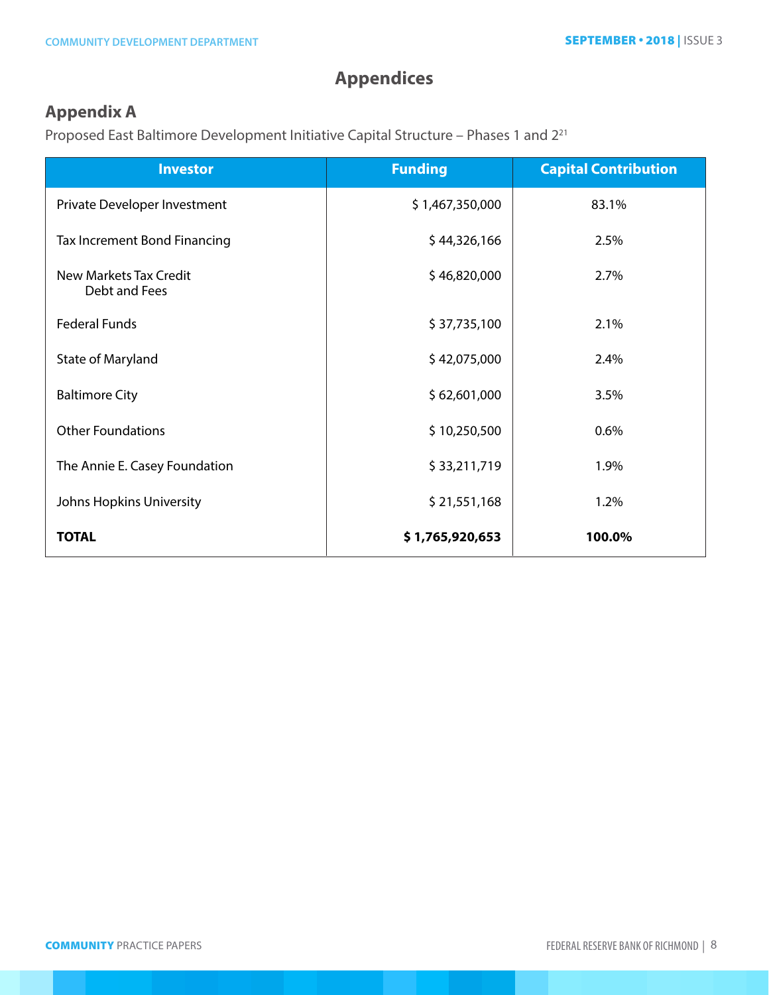# **Appendices**

# **Appendix A**

Proposed East Baltimore Development Initiative Capital Structure – Phases 1 and 221

| <b>Investor</b>                         | <b>Funding</b>  | <b>Capital Contribution</b> |
|-----------------------------------------|-----------------|-----------------------------|
| Private Developer Investment            | \$1,467,350,000 | 83.1%                       |
| <b>Tax Increment Bond Financing</b>     | \$44,326,166    | 2.5%                        |
| New Markets Tax Credit<br>Debt and Fees | \$46,820,000    | 2.7%                        |
| <b>Federal Funds</b>                    | \$37,735,100    | 2.1%                        |
| State of Maryland                       | \$42,075,000    | 2.4%                        |
| <b>Baltimore City</b>                   | \$62,601,000    | 3.5%                        |
| <b>Other Foundations</b>                | \$10,250,500    | 0.6%                        |
| The Annie E. Casey Foundation           | \$33,211,719    | 1.9%                        |
| Johns Hopkins University                | \$21,551,168    | 1.2%                        |
| <b>TOTAL</b>                            | \$1,765,920,653 | 100.0%                      |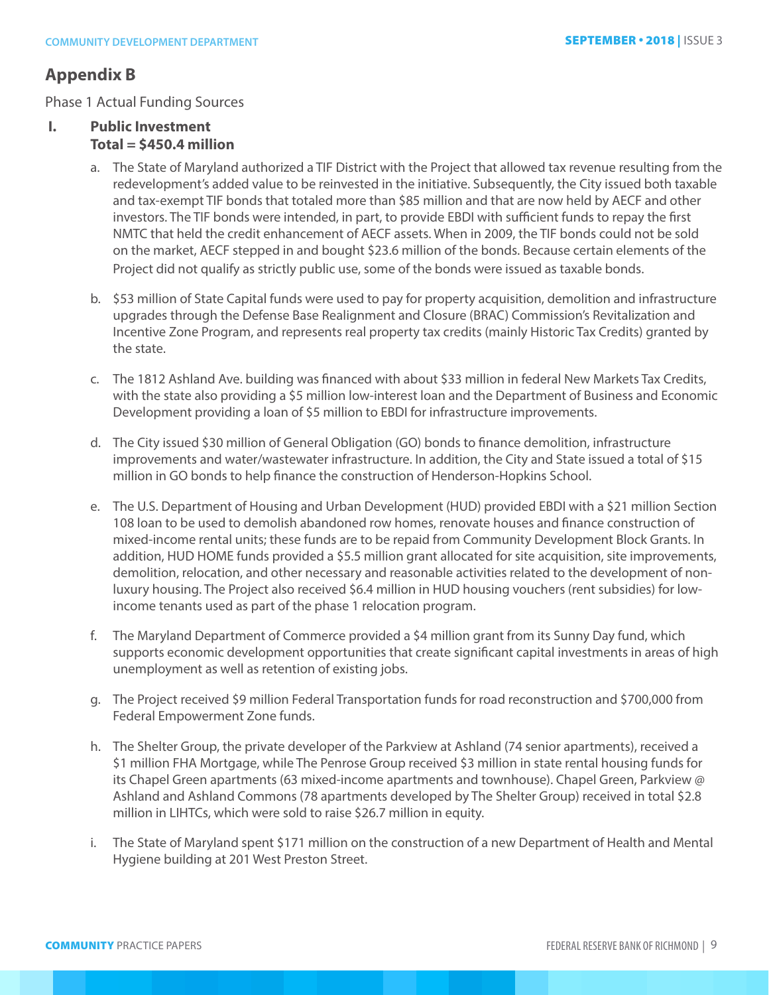# **Appendix B**

Phase 1 Actual Funding Sources

# **I. Public Investment Total = \$450.4 million**

- a. The State of Maryland authorized a TIF District with the Project that allowed tax revenue resulting from the redevelopment's added value to be reinvested in the initiative. Subsequently, the City issued both taxable and tax-exempt TIF bonds that totaled more than \$85 million and that are now held by AECF and other investors. The TIF bonds were intended, in part, to provide EBDI with sufficient funds to repay the first NMTC that held the credit enhancement of AECF assets. When in 2009, the TIF bonds could not be sold on the market, AECF stepped in and bought \$23.6 million of the bonds. Because certain elements of the Project did not qualify as strictly public use, some of the bonds were issued as taxable bonds.
- b. \$53 million of State Capital funds were used to pay for property acquisition, demolition and infrastructure upgrades through the Defense Base Realignment and Closure (BRAC) Commission's Revitalization and Incentive Zone Program, and represents real property tax credits (mainly Historic Tax Credits) granted by the state.
- c. The 1812 Ashland Ave. building was financed with about \$33 million in federal New Markets Tax Credits, with the state also providing a \$5 million low-interest loan and the Department of Business and Economic Development providing a loan of \$5 million to EBDI for infrastructure improvements.
- d. The City issued \$30 million of General Obligation (GO) bonds to finance demolition, infrastructure improvements and water/wastewater infrastructure. In addition, the City and State issued a total of \$15 million in GO bonds to help finance the construction of Henderson-Hopkins School.
- e. The U.S. Department of Housing and Urban Development (HUD) provided EBDI with a \$21 million Section 108 loan to be used to demolish abandoned row homes, renovate houses and finance construction of mixed-income rental units; these funds are to be repaid from Community Development Block Grants. In addition, HUD HOME funds provided a \$5.5 million grant allocated for site acquisition, site improvements, demolition, relocation, and other necessary and reasonable activities related to the development of nonluxury housing. The Project also received \$6.4 million in HUD housing vouchers (rent subsidies) for lowincome tenants used as part of the phase 1 relocation program.
- f. The Maryland Department of Commerce provided a \$4 million grant from its Sunny Day fund, which supports economic development opportunities that create significant capital investments in areas of high unemployment as well as retention of existing jobs.
- g. The Project received \$9 million Federal Transportation funds for road reconstruction and \$700,000 from Federal Empowerment Zone funds.
- h. The Shelter Group, the private developer of the Parkview at Ashland (74 senior apartments), received a \$1 million FHA Mortgage, while The Penrose Group received \$3 million in state rental housing funds for its Chapel Green apartments (63 mixed-income apartments and townhouse). Chapel Green, Parkview @ Ashland and Ashland Commons (78 apartments developed by The Shelter Group) received in total \$2.8 million in LIHTCs, which were sold to raise \$26.7 million in equity.
- i. The State of Maryland spent \$171 million on the construction of a new Department of Health and Mental Hygiene building at 201 West Preston Street.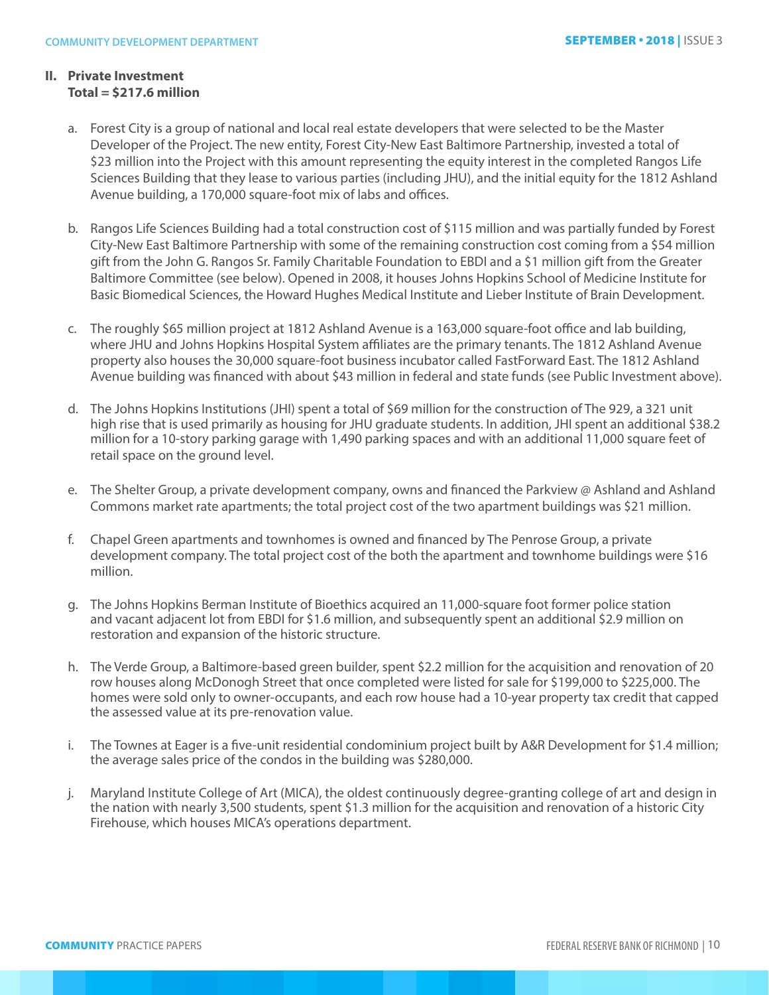## **II. Private Investment Total = \$217.6 million**

- a. Forest City is a group of national and local real estate developers that were selected to be the Master Developer of the Project. The new entity, Forest City-New East Baltimore Partnership, invested a total of \$23 million into the Project with this amount representing the equity interest in the completed Rangos Life Sciences Building that they lease to various parties (including JHU), and the initial equity for the 1812 Ashland Avenue building, a 170,000 square-foot mix of labs and offices.
- b. Rangos Life Sciences Building had a total construction cost of \$115 million and was partially funded by Forest City-New East Baltimore Partnership with some of the remaining construction cost coming from a \$54 million gift from the John G. Rangos Sr. Family Charitable Foundation to EBDI and a \$1 million gift from the Greater Baltimore Committee (see below). Opened in 2008, it houses Johns Hopkins School of Medicine Institute for Basic Biomedical Sciences, the Howard Hughes Medical Institute and Lieber Institute of Brain Development.
- c. The roughly \$65 million project at 1812 Ashland Avenue is a 163,000 square-foot office and lab building, where JHU and Johns Hopkins Hospital System affiliates are the primary tenants. The 1812 Ashland Avenue property also houses the 30,000 square-foot business incubator called FastForward East. The 1812 Ashland Avenue building was financed with about \$43 million in federal and state funds (see Public Investment above).
- d. The Johns Hopkins Institutions (JHI) spent a total of \$69 million for the construction of The 929, a 321 unit high rise that is used primarily as housing for JHU graduate students. In addition, JHI spent an additional \$38.2 million for a 10-story parking garage with 1,490 parking spaces and with an additional 11,000 square feet of retail space on the ground level.
- e. The Shelter Group, a private development company, owns and financed the Parkview @ Ashland and Ashland Commons market rate apartments; the total project cost of the two apartment buildings was \$21 million.
- f. Chapel Green apartments and townhomes is owned and financed by The Penrose Group, a private development company. The total project cost of the both the apartment and townhome buildings were \$16 million.
- g. The Johns Hopkins Berman Institute of Bioethics acquired an 11,000-square foot former police station and vacant adjacent lot from EBDI for \$1.6 million, and subsequently spent an additional \$2.9 million on restoration and expansion of the historic structure.
- h. The Verde Group, a Baltimore-based green builder, spent \$2.2 million for the acquisition and renovation of 20 row houses along McDonogh Street that once completed were listed for sale for \$199,000 to \$225,000. The homes were sold only to owner-occupants, and each row house had a 10-year property tax credit that capped the assessed value at its pre-renovation value.
- i. The Townes at Eager is a five-unit residential condominium project built by A&R Development for \$1.4 million; the average sales price of the condos in the building was \$280,000.
- j. Maryland Institute College of Art (MICA), the oldest continuously degree-granting college of art and design in the nation with nearly 3,500 students, spent \$1.3 million for the acquisition and renovation of a historic City Firehouse, which houses MICA's operations department.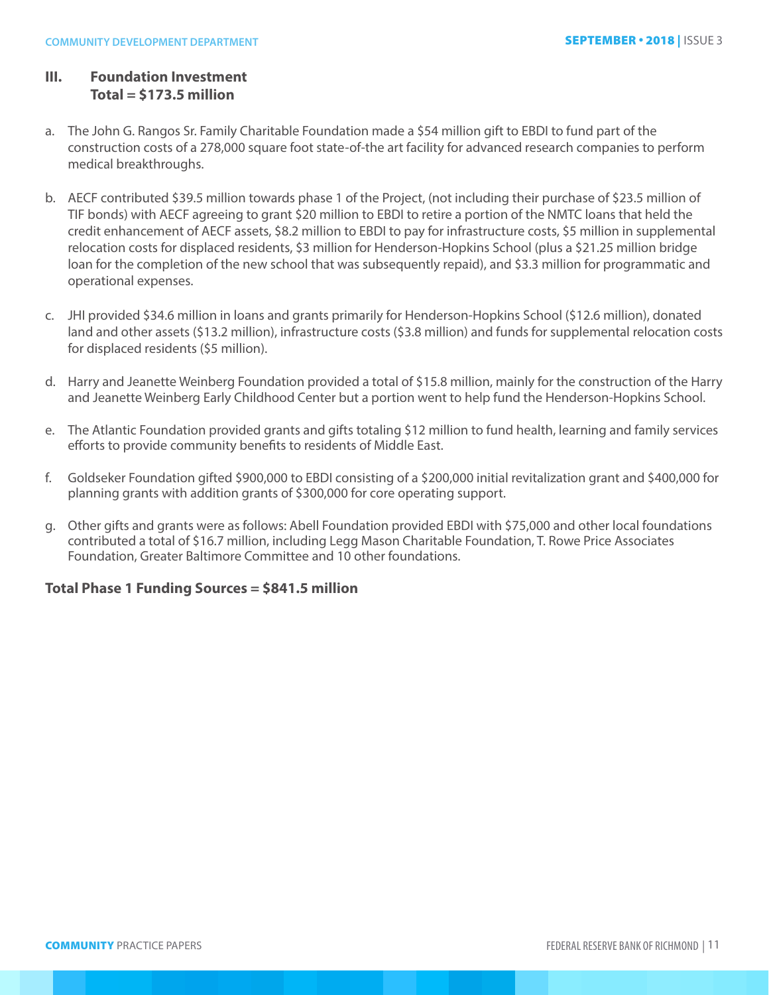# **III. Foundation Investment Total = \$173.5 million**

- a. The John G. Rangos Sr. Family Charitable Foundation made a \$54 million gift to EBDI to fund part of the construction costs of a 278,000 square foot state-of-the art facility for advanced research companies to perform medical breakthroughs.
- b. AECF contributed \$39.5 million towards phase 1 of the Project, (not including their purchase of \$23.5 million of TIF bonds) with AECF agreeing to grant \$20 million to EBDI to retire a portion of the NMTC loans that held the credit enhancement of AECF assets, \$8.2 million to EBDI to pay for infrastructure costs, \$5 million in supplemental relocation costs for displaced residents, \$3 million for Henderson-Hopkins School (plus a \$21.25 million bridge loan for the completion of the new school that was subsequently repaid), and \$3.3 million for programmatic and operational expenses.
- c. JHI provided \$34.6 million in loans and grants primarily for Henderson-Hopkins School (\$12.6 million), donated land and other assets (\$13.2 million), infrastructure costs (\$3.8 million) and funds for supplemental relocation costs for displaced residents (\$5 million).
- d. Harry and Jeanette Weinberg Foundation provided a total of \$15.8 million, mainly for the construction of the Harry and Jeanette Weinberg Early Childhood Center but a portion went to help fund the Henderson-Hopkins School.
- e. The Atlantic Foundation provided grants and gifts totaling \$12 million to fund health, learning and family services efforts to provide community benefits to residents of Middle East.
- f. Goldseker Foundation gifted \$900,000 to EBDI consisting of a \$200,000 initial revitalization grant and \$400,000 for planning grants with addition grants of \$300,000 for core operating support.
- g. Other gifts and grants were as follows: Abell Foundation provided EBDI with \$75,000 and other local foundations contributed a total of \$16.7 million, including Legg Mason Charitable Foundation, T. Rowe Price Associates Foundation, Greater Baltimore Committee and 10 other foundations.

# **Total Phase 1 Funding Sources = \$841.5 million**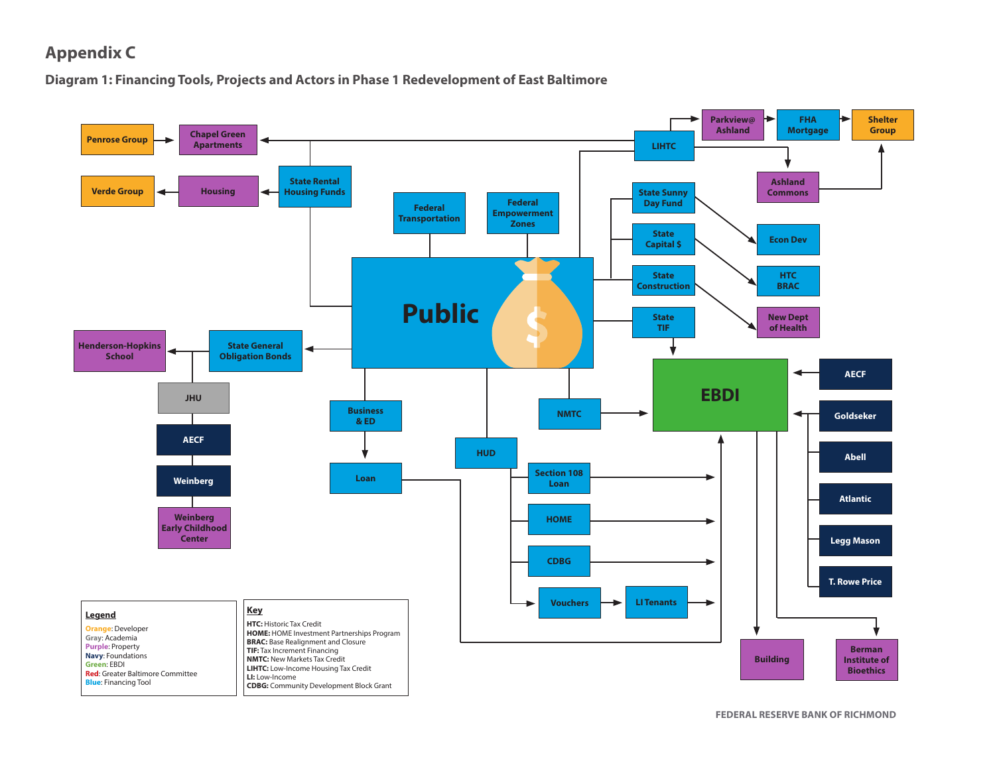# **Appendix C**

**Diagram 1: Financing Tools, Projects and Actors in Phase 1 Redevelopment of East Baltimore**

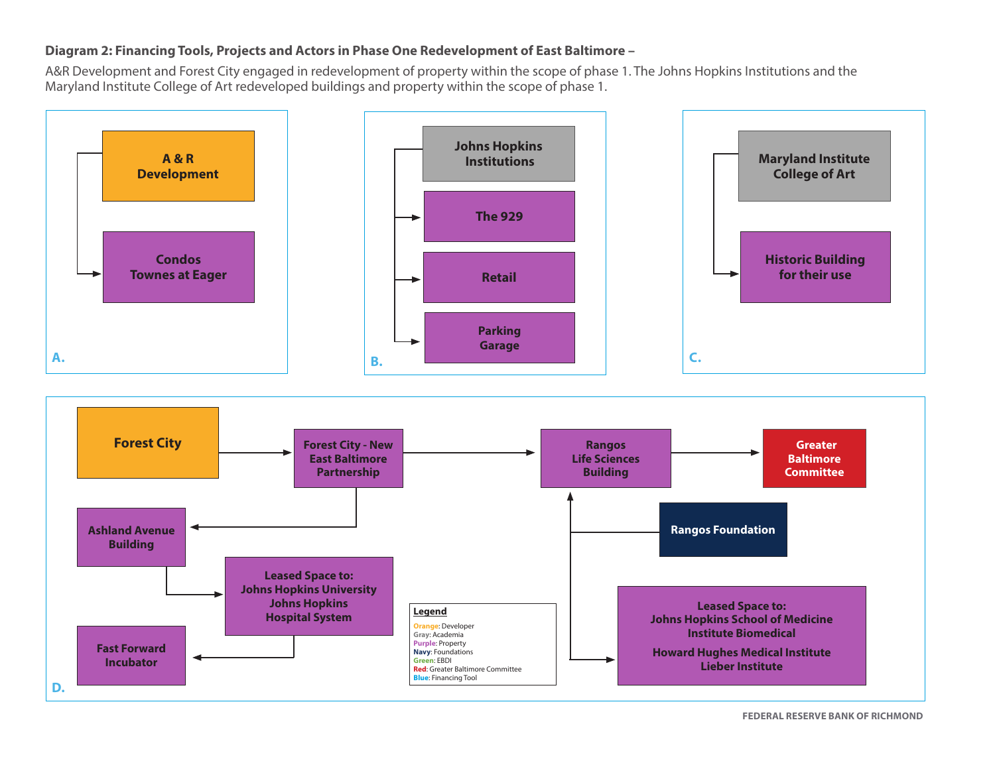# **Diagram 2: Financing Tools, Projects and Actors in Phase One Redevelopment of East Baltimore –**

A&R Development and Forest City engaged in redevelopment of property within the scope of phase 1. The Johns Hopkins Institutions and the Maryland Institute College of Art redeveloped buildings and property within the scope of phase 1.